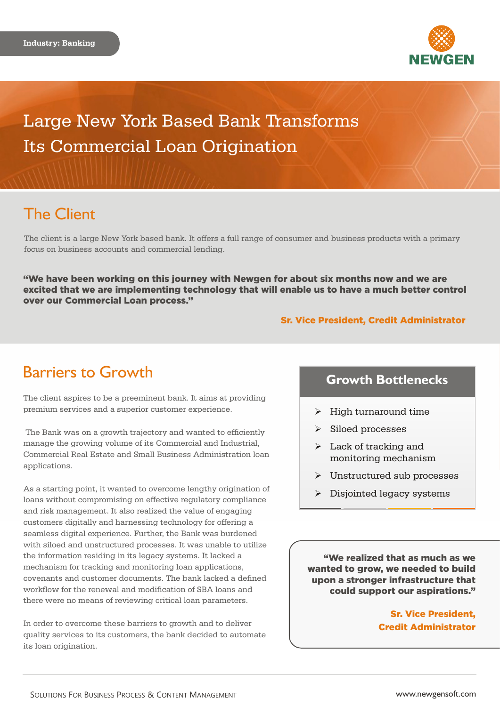

Large New York Based Bank Transforms Its Commercial Loan Origination

## The Client

The client is a large New York based bank. It offers a full range of consumer and business products with a primary focus on business accounts and commercial lending.

"We have been working on this journey with Newgen for about six months now and we are excited that we are implementing technology that will enable us to have a much better control over our Commercial Loan process."

### Sr. Vice President, Credit Administrator

## Barriers to Growth

The client aspires to be a preeminent bank. It aims at providing premium services and a superior customer experience.

 The Bank was on a growth trajectory and wanted to efficiently manage the growing volume of its Commercial and Industrial, Commercial Real Estate and Small Business Administration loan applications.

As a starting point, it wanted to overcome lengthy origination of loans without compromising on effective regulatory compliance and risk management. It also realized the value of engaging customers digitally and harnessing technology for offering a seamless digital experience. Further, the Bank was burdened with siloed and unstructured processes. It was unable to utilize the information residing in its legacy systems. It lacked a mechanism for tracking and monitoring loan applications, covenants and customer documents. The bank lacked a defined workflow for the renewal and modification of SBA loans and there were no means of reviewing critical loan parameters.

In order to overcome these barriers to growth and to deliver quality services to its customers, the bank decided to automate its loan origination.

## **Growth Bottlenecks**

- $\triangleright$  High turnaround time
- $\triangleright$  Siloed processes
- $\triangleright$  Lack of tracking and monitoring mechanism
- $\triangleright$  Unstructured sub processes
- $\triangleright$  Disjointed legacy systems

"We realized that as much as we wanted to grow, we needed to build upon a stronger infrastructure that could support our aspirations."

> Sr. Vice President, Credit Administrator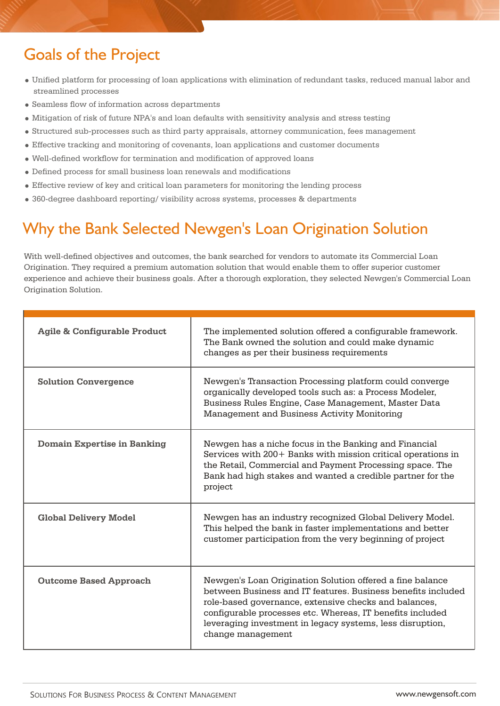# Goals of the Project

- Unified platform for processing of loan applications with elimination of redundant tasks, reduced manual labor and streamlined processes
- Seamless flow of information across departments
- Mitigation of risk of future NPA's and loan defaults with sensitivity analysis and stress testing
- Structured sub-processes such as third party appraisals, attorney communication, fees management
- Effective tracking and monitoring of covenants, loan applications and customer documents
- Well-defined workflow for termination and modification of approved loans
- Defined process for small business loan renewals and modifications
- Effective review of key and critical loan parameters for monitoring the lending process
- 360-degree dashboard reporting/ visibility across systems, processes & departments

# Why the Bank Selected Newgen's Loan Origination Solution

With well-defined objectives and outcomes, the bank searched for vendors to automate its Commercial Loan Origination. They required a premium automation solution that would enable them to offer superior customer experience and achieve their business goals. After a thorough exploration, they selected Newgen's Commercial Loan Origination Solution.

| <b>Agile &amp; Configurable Product</b> | The implemented solution offered a configurable framework.<br>The Bank owned the solution and could make dynamic<br>changes as per their business requirements                                                                                                                                                                    |
|-----------------------------------------|-----------------------------------------------------------------------------------------------------------------------------------------------------------------------------------------------------------------------------------------------------------------------------------------------------------------------------------|
| <b>Solution Convergence</b>             | Newgen's Transaction Processing platform could converge<br>organically developed tools such as: a Process Modeler,<br>Business Rules Engine, Case Management, Master Data<br>Management and Business Activity Monitoring                                                                                                          |
| <b>Domain Expertise in Banking</b>      | Newgen has a niche focus in the Banking and Financial<br>Services with 200+ Banks with mission critical operations in<br>the Retail, Commercial and Payment Processing space. The<br>Bank had high stakes and wanted a credible partner for the<br>project                                                                        |
| <b>Global Delivery Model</b>            | Newgen has an industry recognized Global Delivery Model.<br>This helped the bank in faster implementations and better<br>customer participation from the very beginning of project                                                                                                                                                |
| <b>Outcome Based Approach</b>           | Newgen's Loan Origination Solution offered a fine balance<br>between Business and IT features. Business benefits included<br>role-based governance, extensive checks and balances,<br>configurable processes etc. Whereas, IT benefits included<br>leveraging investment in legacy systems, less disruption,<br>change management |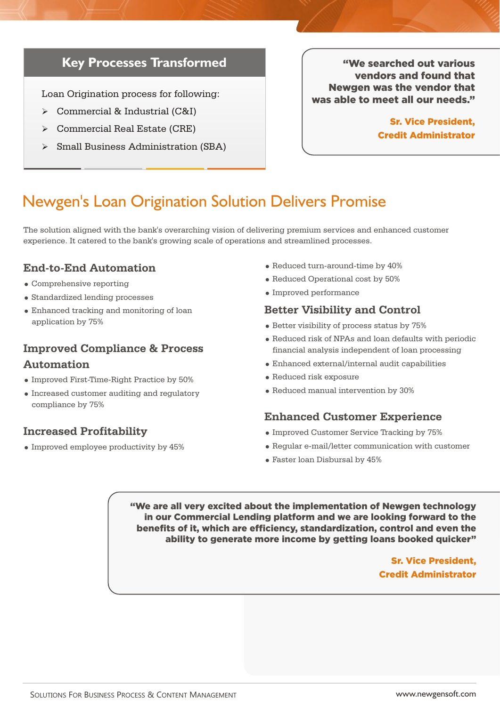## **Key Processes Transformed**

Loan Origination process for following:

- Commercial & Industrial (C&I)
- Commercial Real Estate (CRE)
- $\triangleright$  Small Business Administration (SBA)

"We searched out various vendors and found that Newgen was the vendor that was able to meet all our needs."

> Sr. Vice President, Credit Administrator

## Newgen's Loan Origination Solution Delivers Promise

The solution aligned with the bank's overarching vision of delivering premium services and enhanced customer experience. It catered to the bank's growing scale of operations and streamlined processes.

### **End-to-End Automation**

- Comprehensive reporting
- Standardized lending processes
- Enhanced tracking and monitoring of loan application by 75%

## **Improved Compliance & Process Automation**

- Improved First-Time-Right Practice by 50%
- Increased customer auditing and regulatory compliance by 75%

## **Increased Profitability**

• Improved employee productivity by 45%

- Reduced turn-around-time by 40%
- Reduced Operational cost by 50%
- Improved performance

### **Better Visibility and Control**

- $\bullet$  Better visibility of process status by 75%
- Reduced risk of NPAs and loan defaults with periodic financial analysis independent of loan processing
- Enhanced external/internal audit capabilities
- Reduced risk exposure
- Reduced manual intervention by 30%

### **Enhanced Customer Experience**

- $\bullet$  Improved Customer Service Tracking by 75%
- Regular e-mail/letter communication with customer
- Faster loan Disbursal by 45%

"We are all very excited about the implementation of Newgen technology in our Commercial Lending platform and we are looking forward to the benefits of it, which are efficiency, standardization, control and even the ability to generate more income by getting loans booked quicker"

### Sr. Vice President, Credit Administrator